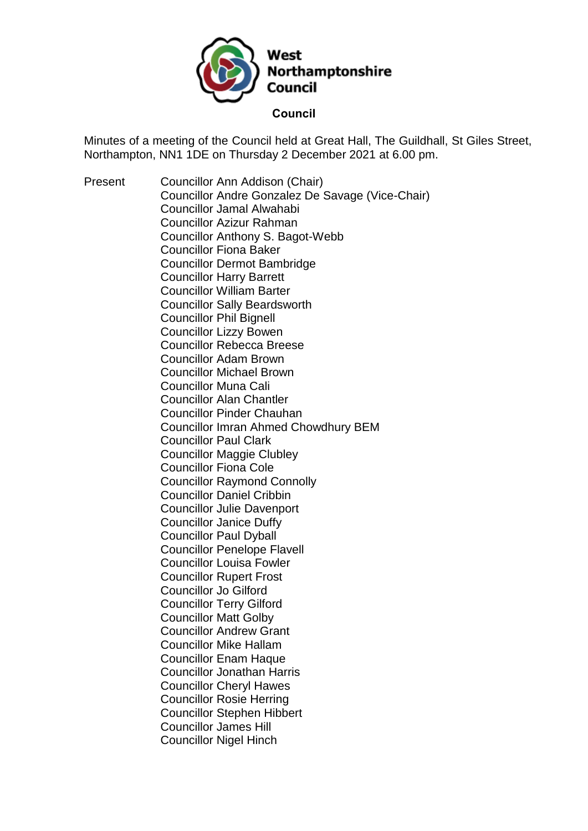

Minutes of a meeting of the Council held at Great Hall, The Guildhall, St Giles Street, Northampton, NN1 1DE on Thursday 2 December 2021 at 6.00 pm.

Present Councillor Ann Addison (Chair) Councillor Andre Gonzalez De Savage (Vice-Chair) Councillor Jamal Alwahabi Councillor Azizur Rahman Councillor Anthony S. Bagot-Webb Councillor Fiona Baker Councillor Dermot Bambridge Councillor Harry Barrett Councillor William Barter Councillor Sally Beardsworth Councillor Phil Bignell Councillor Lizzy Bowen Councillor Rebecca Breese Councillor Adam Brown Councillor Michael Brown Councillor Muna Cali Councillor Alan Chantler Councillor Pinder Chauhan Councillor Imran Ahmed Chowdhury BEM Councillor Paul Clark Councillor Maggie Clubley Councillor Fiona Cole Councillor Raymond Connolly Councillor Daniel Cribbin Councillor Julie Davenport Councillor Janice Duffy Councillor Paul Dyball Councillor Penelope Flavell Councillor Louisa Fowler Councillor Rupert Frost Councillor Jo Gilford Councillor Terry Gilford Councillor Matt Golby Councillor Andrew Grant Councillor Mike Hallam Councillor Enam Haque Councillor Jonathan Harris Councillor Cheryl Hawes Councillor Rosie Herring Councillor Stephen Hibbert Councillor James Hill Councillor Nigel Hinch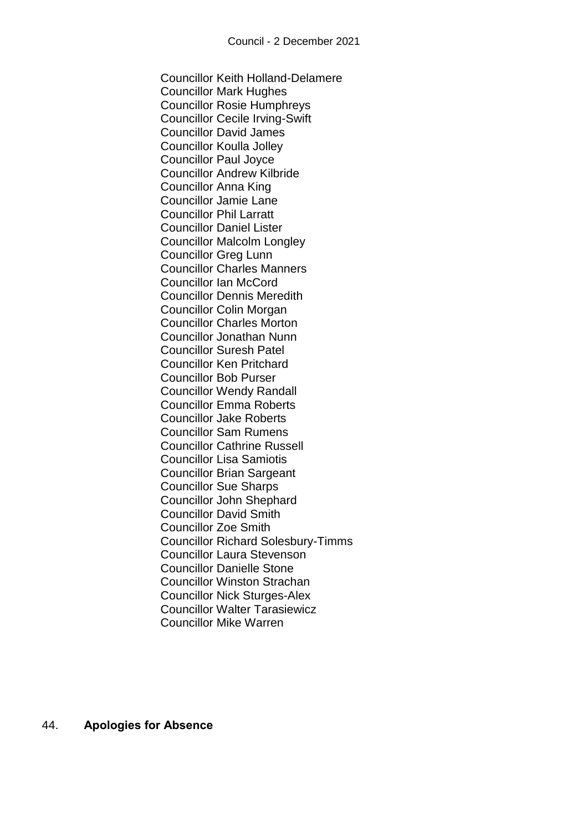Councillor Keith Holland-Delamere Councillor Mark Hughes Councillor Rosie Humphreys Councillor Cecile Irving-Swift Councillor David James Councillor Koulla Jolley Councillor Paul Joyce Councillor Andrew Kilbride Councillor Anna King Councillor Jamie Lane Councillor Phil Larratt Councillor Daniel Lister Councillor Malcolm Longley Councillor Greg Lunn Councillor Charles Manners Councillor Ian McCord Councillor Dennis Meredith Councillor Colin Morgan Councillor Charles Morton Councillor Jonathan Nunn Councillor Suresh Patel Councillor Ken Pritchard Councillor Bob Purser Councillor Wendy Randall Councillor Emma Roberts Councillor Jake Roberts Councillor Sam Rumens Councillor Cathrine Russell Councillor Lisa Samiotis Councillor Brian Sargeant Councillor Sue Sharps Councillor John Shephard Councillor David Smith Councillor Zoe Smith Councillor Richard Solesbury-Timms Councillor Laura Stevenson Councillor Danielle Stone Councillor Winston Strachan Councillor Nick Sturges-Alex Councillor Walter Tarasiewicz Councillor Mike Warren

44. **Apologies for Absence**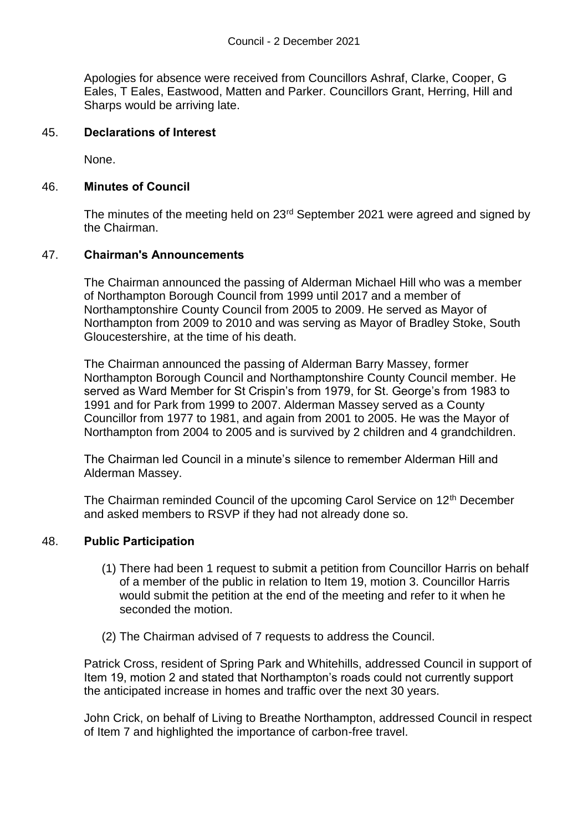Apologies for absence were received from Councillors Ashraf, Clarke, Cooper, G Eales, T Eales, Eastwood, Matten and Parker. Councillors Grant, Herring, Hill and Sharps would be arriving late.

#### 45. **Declarations of Interest**

None.

#### 46. **Minutes of Council**

The minutes of the meeting held on 23<sup>rd</sup> September 2021 were agreed and signed by the Chairman.

#### 47. **Chairman's Announcements**

The Chairman announced the passing of Alderman Michael Hill who was a member of Northampton Borough Council from 1999 until 2017 and a member of Northamptonshire County Council from 2005 to 2009. He served as Mayor of Northampton from 2009 to 2010 and was serving as Mayor of Bradley Stoke, South Gloucestershire, at the time of his death.

The Chairman announced the passing of Alderman Barry Massey, former Northampton Borough Council and Northamptonshire County Council member. He served as Ward Member for St Crispin's from 1979, for St. George's from 1983 to 1991 and for Park from 1999 to 2007. Alderman Massey served as a County Councillor from 1977 to 1981, and again from 2001 to 2005. He was the Mayor of Northampton from 2004 to 2005 and is survived by 2 children and 4 grandchildren.

The Chairman led Council in a minute's silence to remember Alderman Hill and Alderman Massey.

The Chairman reminded Council of the upcoming Carol Service on 12<sup>th</sup> December and asked members to RSVP if they had not already done so.

### 48. **Public Participation**

- (1) There had been 1 request to submit a petition from Councillor Harris on behalf of a member of the public in relation to Item 19, motion 3. Councillor Harris would submit the petition at the end of the meeting and refer to it when he seconded the motion.
- (2) The Chairman advised of 7 requests to address the Council.

Patrick Cross, resident of Spring Park and Whitehills, addressed Council in support of Item 19, motion 2 and stated that Northampton's roads could not currently support the anticipated increase in homes and traffic over the next 30 years.

John Crick, on behalf of Living to Breathe Northampton, addressed Council in respect of Item 7 and highlighted the importance of carbon-free travel.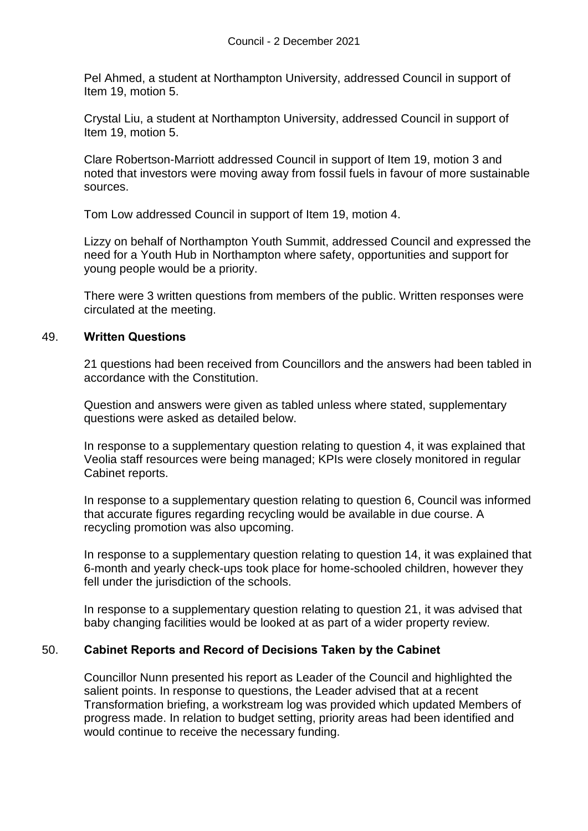Pel Ahmed, a student at Northampton University, addressed Council in support of Item 19, motion 5.

Crystal Liu, a student at Northampton University, addressed Council in support of Item 19, motion 5.

Clare Robertson-Marriott addressed Council in support of Item 19, motion 3 and noted that investors were moving away from fossil fuels in favour of more sustainable sources.

Tom Low addressed Council in support of Item 19, motion 4.

Lizzy on behalf of Northampton Youth Summit, addressed Council and expressed the need for a Youth Hub in Northampton where safety, opportunities and support for young people would be a priority.

There were 3 written questions from members of the public. Written responses were circulated at the meeting.

#### 49. **Written Questions**

21 questions had been received from Councillors and the answers had been tabled in accordance with the Constitution.

Question and answers were given as tabled unless where stated, supplementary questions were asked as detailed below.

In response to a supplementary question relating to question 4, it was explained that Veolia staff resources were being managed; KPIs were closely monitored in regular Cabinet reports.

In response to a supplementary question relating to question 6, Council was informed that accurate figures regarding recycling would be available in due course. A recycling promotion was also upcoming.

In response to a supplementary question relating to question 14, it was explained that 6-month and yearly check-ups took place for home-schooled children, however they fell under the jurisdiction of the schools.

In response to a supplementary question relating to question 21, it was advised that baby changing facilities would be looked at as part of a wider property review.

### 50. **Cabinet Reports and Record of Decisions Taken by the Cabinet**

Councillor Nunn presented his report as Leader of the Council and highlighted the salient points. In response to questions, the Leader advised that at a recent Transformation briefing, a workstream log was provided which updated Members of progress made. In relation to budget setting, priority areas had been identified and would continue to receive the necessary funding.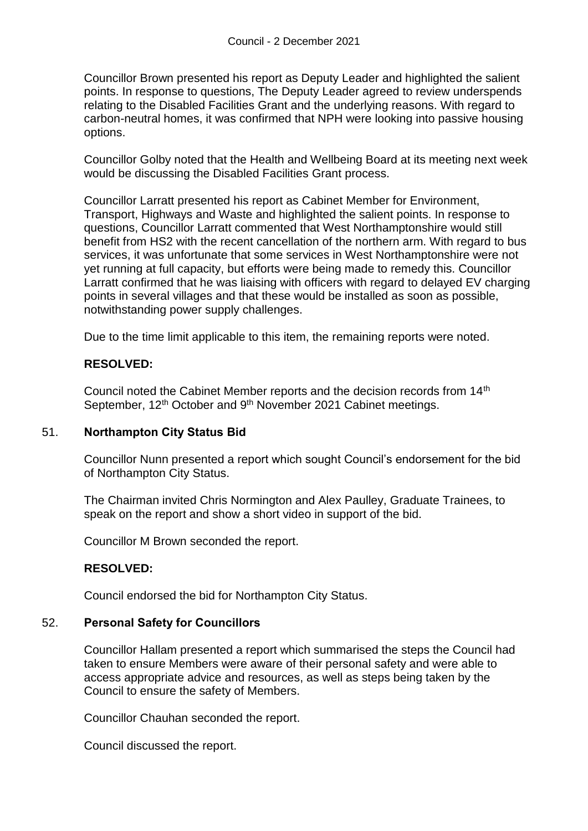Councillor Brown presented his report as Deputy Leader and highlighted the salient points. In response to questions, The Deputy Leader agreed to review underspends relating to the Disabled Facilities Grant and the underlying reasons. With regard to carbon-neutral homes, it was confirmed that NPH were looking into passive housing options.

Councillor Golby noted that the Health and Wellbeing Board at its meeting next week would be discussing the Disabled Facilities Grant process.

Councillor Larratt presented his report as Cabinet Member for Environment, Transport, Highways and Waste and highlighted the salient points. In response to questions, Councillor Larratt commented that West Northamptonshire would still benefit from HS2 with the recent cancellation of the northern arm. With regard to bus services, it was unfortunate that some services in West Northamptonshire were not yet running at full capacity, but efforts were being made to remedy this. Councillor Larratt confirmed that he was liaising with officers with regard to delayed EV charging points in several villages and that these would be installed as soon as possible, notwithstanding power supply challenges.

Due to the time limit applicable to this item, the remaining reports were noted.

### **RESOLVED:**

Council noted the Cabinet Member reports and the decision records from 14<sup>th</sup> September, 12<sup>th</sup> October and 9<sup>th</sup> November 2021 Cabinet meetings.

### 51. **Northampton City Status Bid**

Councillor Nunn presented a report which sought Council's endorsement for the bid of Northampton City Status.

The Chairman invited Chris Normington and Alex Paulley, Graduate Trainees, to speak on the report and show a short video in support of the bid.

Councillor M Brown seconded the report.

### **RESOLVED:**

Council endorsed the bid for Northampton City Status.

### 52. **Personal Safety for Councillors**

Councillor Hallam presented a report which summarised the steps the Council had taken to ensure Members were aware of their personal safety and were able to access appropriate advice and resources, as well as steps being taken by the Council to ensure the safety of Members.

Councillor Chauhan seconded the report.

Council discussed the report.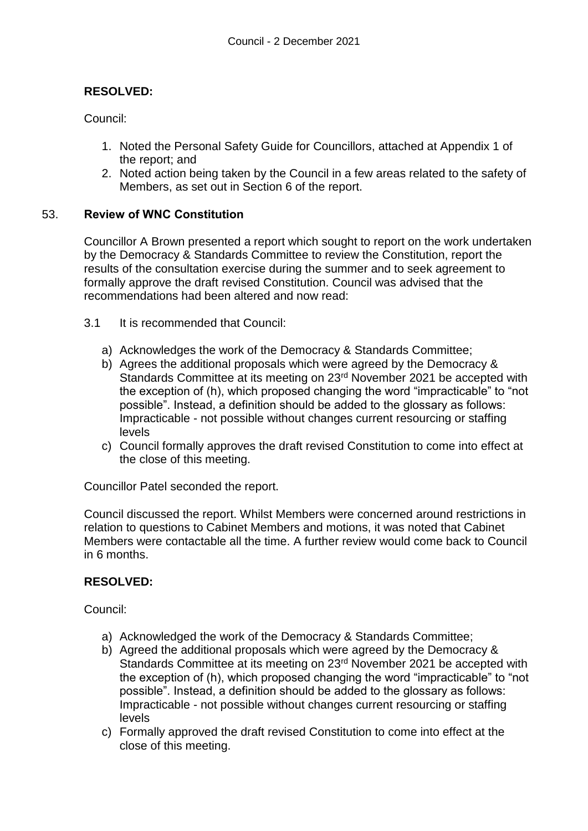# **RESOLVED:**

Council:

- 1. Noted the Personal Safety Guide for Councillors, attached at Appendix 1 of the report; and
- 2. Noted action being taken by the Council in a few areas related to the safety of Members, as set out in Section 6 of the report.

# 53. **Review of WNC Constitution**

Councillor A Brown presented a report which sought to report on the work undertaken by the Democracy & Standards Committee to review the Constitution, report the results of the consultation exercise during the summer and to seek agreement to formally approve the draft revised Constitution. Council was advised that the recommendations had been altered and now read:

- 3.1 It is recommended that Council:
	- a) Acknowledges the work of the Democracy & Standards Committee;
	- b) Agrees the additional proposals which were agreed by the Democracy & Standards Committee at its meeting on 23<sup>rd</sup> November 2021 be accepted with the exception of (h), which proposed changing the word "impracticable" to "not possible". Instead, a definition should be added to the glossary as follows: Impracticable - not possible without changes current resourcing or staffing levels
	- c) Council formally approves the draft revised Constitution to come into effect at the close of this meeting.

Councillor Patel seconded the report.

Council discussed the report. Whilst Members were concerned around restrictions in relation to questions to Cabinet Members and motions, it was noted that Cabinet Members were contactable all the time. A further review would come back to Council in 6 months.

# **RESOLVED:**

Council:

- a) Acknowledged the work of the Democracy & Standards Committee;
- b) Agreed the additional proposals which were agreed by the Democracy & Standards Committee at its meeting on 23<sup>rd</sup> November 2021 be accepted with the exception of (h), which proposed changing the word "impracticable" to "not possible". Instead, a definition should be added to the glossary as follows: Impracticable - not possible without changes current resourcing or staffing levels
- c) Formally approved the draft revised Constitution to come into effect at the close of this meeting.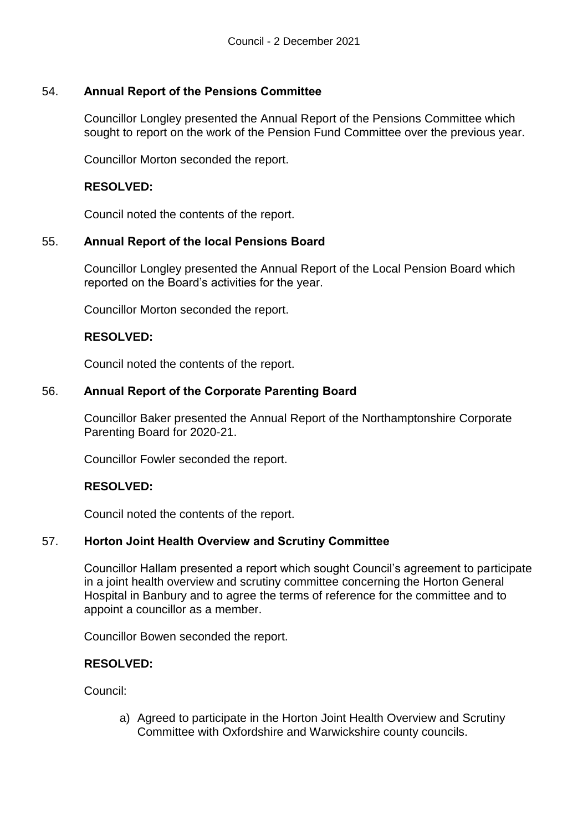# 54. **Annual Report of the Pensions Committee**

Councillor Longley presented the Annual Report of the Pensions Committee which sought to report on the work of the Pension Fund Committee over the previous year.

Councillor Morton seconded the report.

# **RESOLVED:**

Council noted the contents of the report.

# 55. **Annual Report of the local Pensions Board**

Councillor Longley presented the Annual Report of the Local Pension Board which reported on the Board's activities for the year.

Councillor Morton seconded the report.

#### **RESOLVED:**

Council noted the contents of the report.

### 56. **Annual Report of the Corporate Parenting Board**

Councillor Baker presented the Annual Report of the Northamptonshire Corporate Parenting Board for 2020-21.

Councillor Fowler seconded the report.

### **RESOLVED:**

Council noted the contents of the report.

### 57. **Horton Joint Health Overview and Scrutiny Committee**

Councillor Hallam presented a report which sought Council's agreement to participate in a joint health overview and scrutiny committee concerning the Horton General Hospital in Banbury and to agree the terms of reference for the committee and to appoint a councillor as a member.

Councillor Bowen seconded the report.

### **RESOLVED:**

Council:

a) Agreed to participate in the Horton Joint Health Overview and Scrutiny Committee with Oxfordshire and Warwickshire county councils.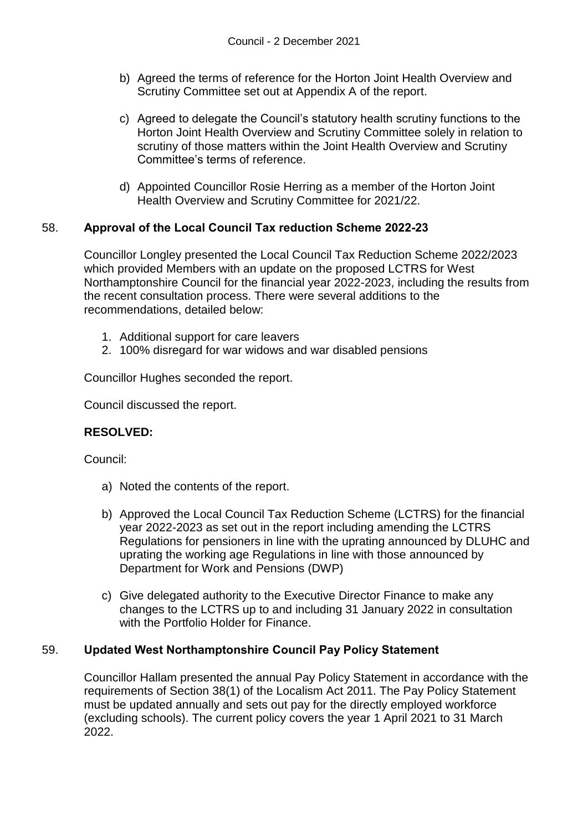- b) Agreed the terms of reference for the Horton Joint Health Overview and Scrutiny Committee set out at Appendix A of the report.
- c) Agreed to delegate the Council's statutory health scrutiny functions to the Horton Joint Health Overview and Scrutiny Committee solely in relation to scrutiny of those matters within the Joint Health Overview and Scrutiny Committee's terms of reference.
- d) Appointed Councillor Rosie Herring as a member of the Horton Joint Health Overview and Scrutiny Committee for 2021/22.

# 58. **Approval of the Local Council Tax reduction Scheme 2022-23**

Councillor Longley presented the Local Council Tax Reduction Scheme 2022/2023 which provided Members with an update on the proposed LCTRS for West Northamptonshire Council for the financial year 2022-2023, including the results from the recent consultation process. There were several additions to the recommendations, detailed below:

- 1. Additional support for care leavers
- 2. 100% disregard for war widows and war disabled pensions

Councillor Hughes seconded the report.

Council discussed the report.

### **RESOLVED:**

Council:

- a) Noted the contents of the report.
- b) Approved the Local Council Tax Reduction Scheme (LCTRS) for the financial year 2022-2023 as set out in the report including amending the LCTRS Regulations for pensioners in line with the uprating announced by DLUHC and uprating the working age Regulations in line with those announced by Department for Work and Pensions (DWP)
- c) Give delegated authority to the Executive Director Finance to make any changes to the LCTRS up to and including 31 January 2022 in consultation with the Portfolio Holder for Finance.

### 59. **Updated West Northamptonshire Council Pay Policy Statement**

Councillor Hallam presented the annual Pay Policy Statement in accordance with the requirements of Section 38(1) of the Localism Act 2011. The Pay Policy Statement must be updated annually and sets out pay for the directly employed workforce (excluding schools). The current policy covers the year 1 April 2021 to 31 March 2022.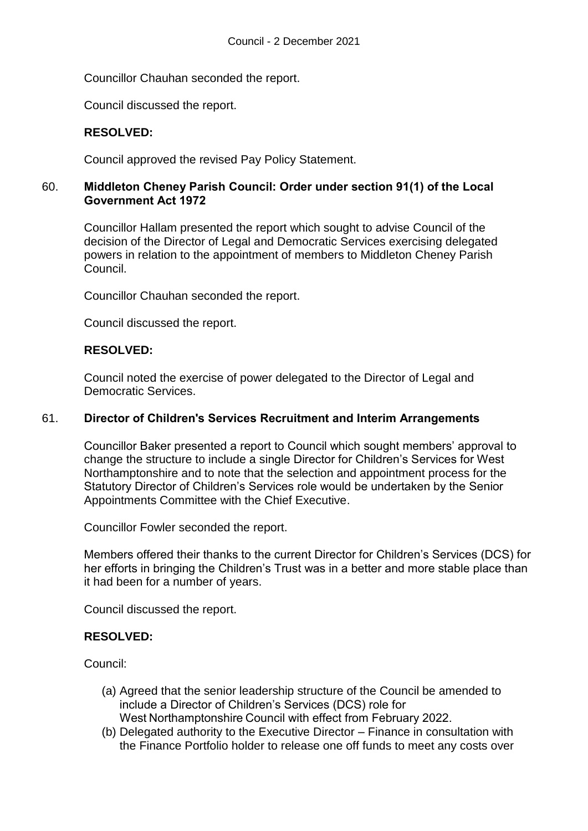Councillor Chauhan seconded the report.

Council discussed the report.

# **RESOLVED:**

Council approved the revised Pay Policy Statement.

# 60. **Middleton Cheney Parish Council: Order under section 91(1) of the Local Government Act 1972**

Councillor Hallam presented the report which sought to advise Council of the decision of the Director of Legal and Democratic Services exercising delegated powers in relation to the appointment of members to Middleton Cheney Parish Council.

Councillor Chauhan seconded the report.

Council discussed the report.

# **RESOLVED:**

Council noted the exercise of power delegated to the Director of Legal and Democratic Services.

### 61. **Director of Children's Services Recruitment and Interim Arrangements**

Councillor Baker presented a report to Council which sought members' approval to change the structure to include a single Director for Children's Services for West Northamptonshire and to note that the selection and appointment process for the Statutory Director of Children's Services role would be undertaken by the Senior Appointments Committee with the Chief Executive.

Councillor Fowler seconded the report.

Members offered their thanks to the current Director for Children's Services (DCS) for her efforts in bringing the Children's Trust was in a better and more stable place than it had been for a number of years.

Council discussed the report.

### **RESOLVED:**

Council:

- (a) Agreed that the senior leadership structure of the Council be amended to include a Director of Children's Services (DCS) role for West Northamptonshire Council with effect from February 2022.
- (b) Delegated authority to the Executive Director Finance in consultation with the Finance Portfolio holder to release one off funds to meet any costs over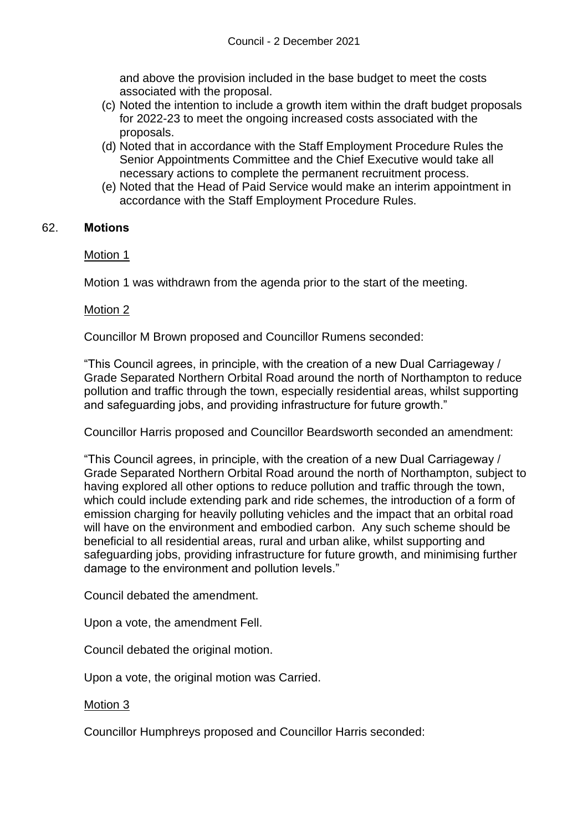and above the provision included in the base budget to meet the costs associated with the proposal.

- (c) Noted the intention to include a growth item within the draft budget proposals for 2022-23 to meet the ongoing increased costs associated with the proposals.
- (d) Noted that in accordance with the Staff Employment Procedure Rules the Senior Appointments Committee and the Chief Executive would take all necessary actions to complete the permanent recruitment process.
- (e) Noted that the Head of Paid Service would make an interim appointment in accordance with the Staff Employment Procedure Rules.

# 62. **Motions**

Motion 1

Motion 1 was withdrawn from the agenda prior to the start of the meeting.

### Motion 2

Councillor M Brown proposed and Councillor Rumens seconded:

"This Council agrees, in principle, with the creation of a new Dual Carriageway / Grade Separated Northern Orbital Road around the north of Northampton to reduce pollution and traffic through the town, especially residential areas, whilst supporting and safeguarding jobs, and providing infrastructure for future growth."

Councillor Harris proposed and Councillor Beardsworth seconded an amendment:

"This Council agrees, in principle, with the creation of a new Dual Carriageway / Grade Separated Northern Orbital Road around the north of Northampton, subject to having explored all other options to reduce pollution and traffic through the town, which could include extending park and ride schemes, the introduction of a form of emission charging for heavily polluting vehicles and the impact that an orbital road will have on the environment and embodied carbon. Any such scheme should be beneficial to all residential areas, rural and urban alike, whilst supporting and safeguarding jobs, providing infrastructure for future growth, and minimising further damage to the environment and pollution levels."

Council debated the amendment.

Upon a vote, the amendment Fell.

Council debated the original motion.

Upon a vote, the original motion was Carried.

### Motion 3

Councillor Humphreys proposed and Councillor Harris seconded: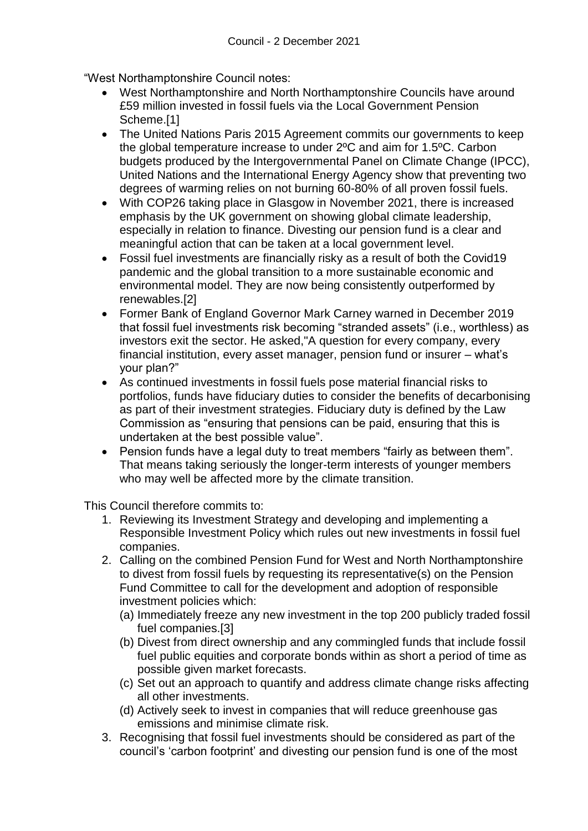"West Northamptonshire Council notes:

- West Northamptonshire and North Northamptonshire Councils have around £59 million invested in fossil fuels via the Local Government Pension Scheme.[1]
- The United Nations Paris 2015 Agreement commits our governments to keep the global temperature increase to under 2ºC and aim for 1.5ºC. Carbon budgets produced by the Intergovernmental Panel on Climate Change (IPCC), United Nations and the International Energy Agency show that preventing two degrees of warming relies on not burning 60-80% of all proven fossil fuels.
- With COP26 taking place in Glasgow in November 2021, there is increased emphasis by the UK government on showing global climate leadership, especially in relation to finance. Divesting our pension fund is a clear and meaningful action that can be taken at a local government level.
- Fossil fuel investments are financially risky as a result of both the Covid19 pandemic and the global transition to a more sustainable economic and environmental model. They are now being consistently outperformed by renewables.[2]
- Former Bank of England Governor Mark Carney warned in December 2019 that fossil fuel investments risk becoming "stranded assets" (i.e., worthless) as investors exit the sector. He asked,"A question for every company, every financial institution, every asset manager, pension fund or insurer – what's your plan?"
- As continued investments in fossil fuels pose material financial risks to portfolios, funds have fiduciary duties to consider the benefits of decarbonising as part of their investment strategies. Fiduciary duty is defined by the Law Commission as "ensuring that pensions can be paid, ensuring that this is undertaken at the best possible value".
- Pension funds have a legal duty to treat members "fairly as between them". That means taking seriously the longer-term interests of younger members who may well be affected more by the climate transition.

This Council therefore commits to:

- 1. Reviewing its Investment Strategy and developing and implementing a Responsible Investment Policy which rules out new investments in fossil fuel companies.
- 2. Calling on the combined Pension Fund for West and North Northamptonshire to divest from fossil fuels by requesting its representative(s) on the Pension Fund Committee to call for the development and adoption of responsible investment policies which:
	- (a) Immediately freeze any new investment in the top 200 publicly traded fossil fuel companies.[3]
	- (b) Divest from direct ownership and any commingled funds that include fossil fuel public equities and corporate bonds within as short a period of time as possible given market forecasts.
	- (c) Set out an approach to quantify and address climate change risks affecting all other investments.
	- (d) Actively seek to invest in companies that will reduce greenhouse gas emissions and minimise climate risk.
- 3. Recognising that fossil fuel investments should be considered as part of the council's 'carbon footprint' and divesting our pension fund is one of the most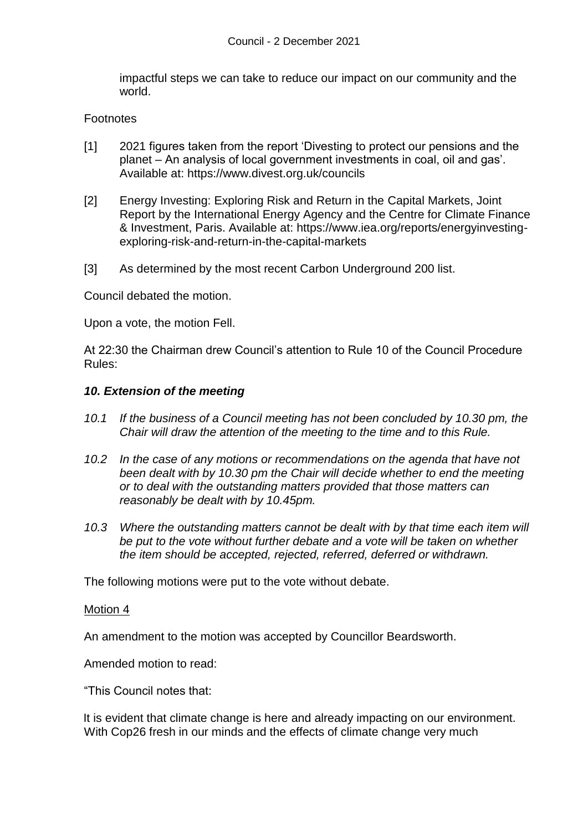impactful steps we can take to reduce our impact on our community and the world.

#### **Footnotes**

- [1] 2021 figures taken from the report 'Divesting to protect our pensions and the planet – An analysis of local government investments in coal, oil and gas'. Available at: https://www.divest.org.uk/councils
- [2] Energy Investing: Exploring Risk and Return in the Capital Markets, Joint Report by the International Energy Agency and the Centre for Climate Finance & Investment, Paris. Available at: https://www.iea.org/reports/energyinvestingexploring-risk-and-return-in-the-capital-markets
- [3] As determined by the most recent Carbon Underground 200 list.

Council debated the motion.

Upon a vote, the motion Fell.

At 22:30 the Chairman drew Council's attention to Rule 10 of the Council Procedure Rules:

#### *10. Extension of the meeting*

- *10.1 If the business of a Council meeting has not been concluded by 10.30 pm, the Chair will draw the attention of the meeting to the time and to this Rule.*
- *10.2 In the case of any motions or recommendations on the agenda that have not been dealt with by 10.30 pm the Chair will decide whether to end the meeting or to deal with the outstanding matters provided that those matters can reasonably be dealt with by 10.45pm.*
- *10.3 Where the outstanding matters cannot be dealt with by that time each item will be put to the vote without further debate and a vote will be taken on whether the item should be accepted, rejected, referred, deferred or withdrawn.*

The following motions were put to the vote without debate.

#### Motion 4

An amendment to the motion was accepted by Councillor Beardsworth.

Amended motion to read:

"This Council notes that:

It is evident that climate change is here and already impacting on our environment. With Cop26 fresh in our minds and the effects of climate change very much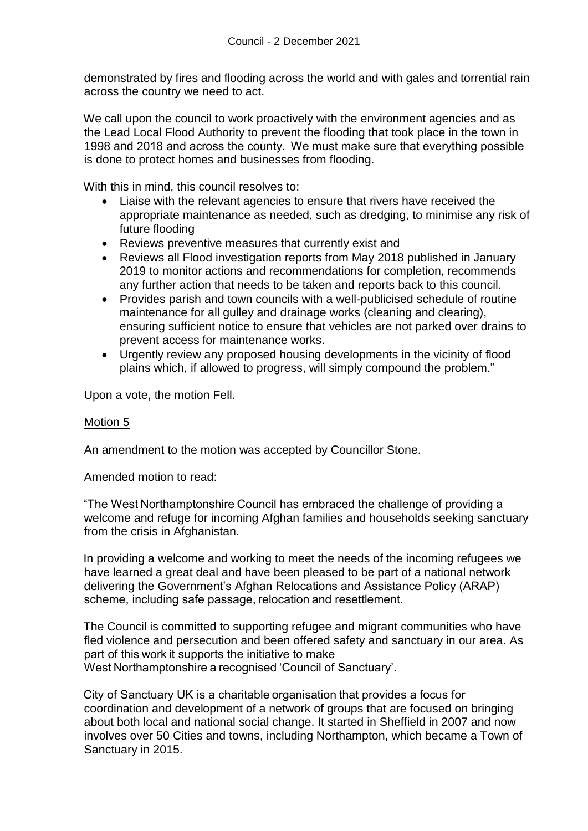demonstrated by fires and flooding across the world and with gales and torrential rain across the country we need to act.

We call upon the council to work proactively with the environment agencies and as the Lead Local Flood Authority to prevent the flooding that took place in the town in 1998 and 2018 and across the county.  We must make sure that everything possible is done to protect homes and businesses from flooding.

With this in mind, this council resolves to:

- Liaise with the relevant agencies to ensure that rivers have received the appropriate maintenance as needed, such as dredging, to minimise any risk of future flooding
- Reviews preventive measures that currently exist and
- Reviews all Flood investigation reports from May 2018 published in January 2019 to monitor actions and recommendations for completion, recommends any further action that needs to be taken and reports back to this council.
- Provides parish and town councils with a well-publicised schedule of routine maintenance for all gulley and drainage works (cleaning and clearing), ensuring sufficient notice to ensure that vehicles are not parked over drains to prevent access for maintenance works.
- Urgently review any proposed housing developments in the vicinity of flood plains which, if allowed to progress, will simply compound the problem."

Upon a vote, the motion Fell.

### Motion 5

An amendment to the motion was accepted by Councillor Stone.

Amended motion to read:

"The West Northamptonshire Council has embraced the challenge of providing a welcome and refuge for incoming Afghan families and households seeking sanctuary from the crisis in Afghanistan.

In providing a welcome and working to meet the needs of the incoming refugees we have learned a great deal and have been pleased to be part of a national network delivering the Government's Afghan Relocations and Assistance Policy (ARAP) scheme, including safe passage, relocation and resettlement.

The Council is committed to supporting refugee and migrant communities who have fled violence and persecution and been offered safety and sanctuary in our area. As part of this work it supports the initiative to make West Northamptonshire a recognised 'Council of Sanctuary'.

City of Sanctuary UK is a charitable organisation that provides a focus for coordination and development of a network of groups that are focused on bringing about both local and national social change. It started in Sheffield in 2007 and now involves over 50 Cities and towns, including Northampton, which became a Town of Sanctuary in 2015.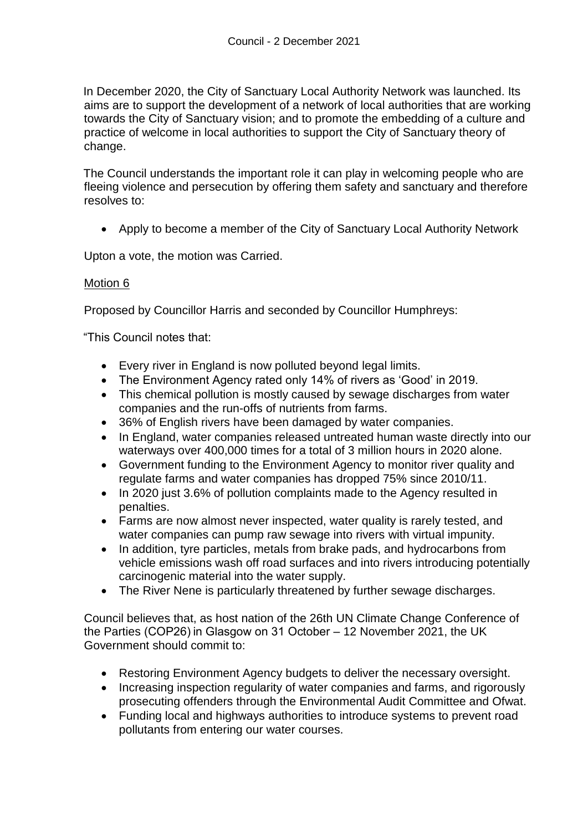In December 2020, the City of Sanctuary Local Authority Network was launched. Its aims are to support the development of a network of local authorities that are working towards the City of Sanctuary vision; and to promote the embedding of a culture and practice of welcome in local authorities to support the City of Sanctuary theory of change.

The Council understands the important role it can play in welcoming people who are fleeing violence and persecution by offering them safety and sanctuary and therefore resolves to:

Apply to become a member of the City of Sanctuary Local Authority Network

Upton a vote, the motion was Carried.

# Motion 6

Proposed by Councillor Harris and seconded by Councillor Humphreys:

"This Council notes that:

- Every river in England is now polluted beyond legal limits.
- The Environment Agency rated only 14% of rivers as 'Good' in 2019.
- This chemical pollution is mostly caused by sewage discharges from water companies and the run-offs of nutrients from farms.
- 36% of English rivers have been damaged by water companies.
- In England, water companies released untreated human waste directly into our waterways over 400,000 times for a total of 3 million hours in 2020 alone.
- Government funding to the Environment Agency to monitor river quality and regulate farms and water companies has dropped 75% since 2010/11.
- In 2020 just 3.6% of pollution complaints made to the Agency resulted in penalties.
- Farms are now almost never inspected, water quality is rarely tested, and water companies can pump raw sewage into rivers with virtual impunity.
- In addition, tyre particles, metals from brake pads, and hydrocarbons from vehicle emissions wash off road surfaces and into rivers introducing potentially carcinogenic material into the water supply.
- The River Nene is particularly threatened by further sewage discharges.

Council believes that, as host nation of the 26th UN Climate Change Conference of the Parties (COP26) in Glasgow on 31 October – 12 November 2021, the UK Government should commit to:

- Restoring Environment Agency budgets to deliver the necessary oversight.
- Increasing inspection regularity of water companies and farms, and rigorously prosecuting offenders through the Environmental Audit Committee and Ofwat.
- Funding local and highways authorities to introduce systems to prevent road pollutants from entering our water courses.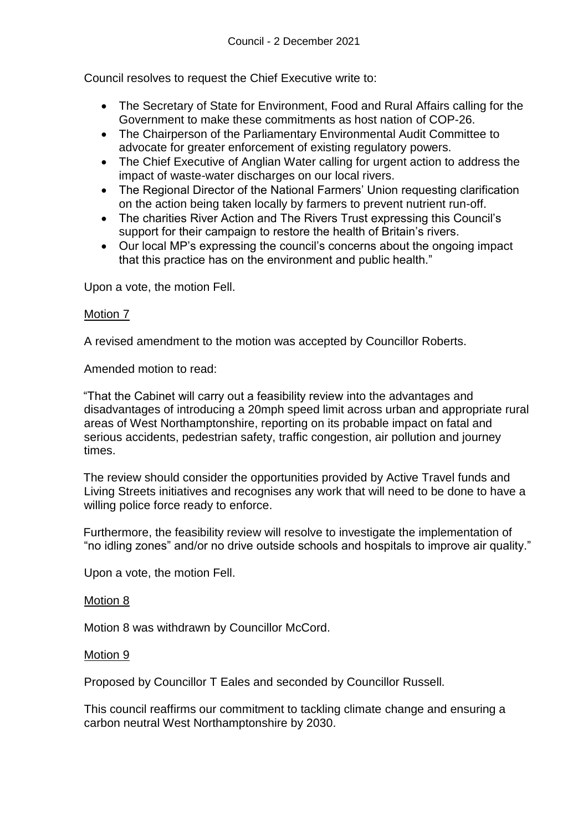Council resolves to request the Chief Executive write to:

- The Secretary of State for Environment, Food and Rural Affairs calling for the Government to make these commitments as host nation of COP-26.
- The Chairperson of the Parliamentary Environmental Audit Committee to advocate for greater enforcement of existing regulatory powers.
- The Chief Executive of Anglian Water calling for urgent action to address the impact of waste-water discharges on our local rivers.
- The Regional Director of the National Farmers' Union requesting clarification on the action being taken locally by farmers to prevent nutrient run-off.
- The charities River Action and The Rivers Trust expressing this Council's support for their campaign to restore the health of Britain's rivers.
- Our local MP's expressing the council's concerns about the ongoing impact that this practice has on the environment and public health."

Upon a vote, the motion Fell.

### Motion 7

A revised amendment to the motion was accepted by Councillor Roberts.

Amended motion to read:

"That the Cabinet will carry out a feasibility review into the advantages and disadvantages of introducing a 20mph speed limit across urban and appropriate rural areas of West Northamptonshire, reporting on its probable impact on fatal and serious accidents, pedestrian safety, traffic congestion, air pollution and journey times.

The review should consider the opportunities provided by Active Travel funds and Living Streets initiatives and recognises any work that will need to be done to have a willing police force ready to enforce.

Furthermore, the feasibility review will resolve to investigate the implementation of "no idling zones" and/or no drive outside schools and hospitals to improve air quality."

Upon a vote, the motion Fell.

### Motion 8

Motion 8 was withdrawn by Councillor McCord.

#### Motion 9

Proposed by Councillor T Eales and seconded by Councillor Russell.

This council reaffirms our commitment to tackling climate change and ensuring a carbon neutral West Northamptonshire by 2030.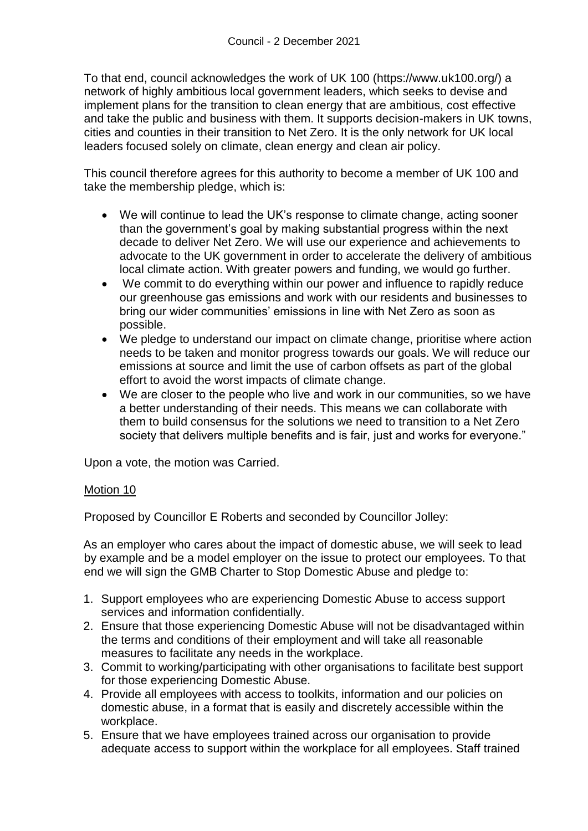To that end, council acknowledges the work of UK 100 (https://www.uk100.org/) a network of highly ambitious local government leaders, which seeks to devise and implement plans for the transition to clean energy that are ambitious, cost effective and take the public and business with them. It supports decision-makers in UK towns, cities and counties in their transition to Net Zero. It is the only network for UK local leaders focused solely on climate, clean energy and clean air policy.

This council therefore agrees for this authority to become a member of UK 100 and take the membership pledge, which is:

- We will continue to lead the UK's response to climate change, acting sooner than the government's goal by making substantial progress within the next decade to deliver Net Zero. We will use our experience and achievements to advocate to the UK government in order to accelerate the delivery of ambitious local climate action. With greater powers and funding, we would go further.
- We commit to do everything within our power and influence to rapidly reduce our greenhouse gas emissions and work with our residents and businesses to bring our wider communities' emissions in line with Net Zero as soon as possible.
- We pledge to understand our impact on climate change, prioritise where action needs to be taken and monitor progress towards our goals. We will reduce our emissions at source and limit the use of carbon offsets as part of the global effort to avoid the worst impacts of climate change.
- We are closer to the people who live and work in our communities, so we have a better understanding of their needs. This means we can collaborate with them to build consensus for the solutions we need to transition to a Net Zero society that delivers multiple benefits and is fair, just and works for everyone."

Upon a vote, the motion was Carried.

### Motion 10

Proposed by Councillor E Roberts and seconded by Councillor Jolley:

As an employer who cares about the impact of domestic abuse, we will seek to lead by example and be a model employer on the issue to protect our employees. To that end we will sign the GMB Charter to Stop Domestic Abuse and pledge to:

- 1. Support employees who are experiencing Domestic Abuse to access support services and information confidentially.
- 2. Ensure that those experiencing Domestic Abuse will not be disadvantaged within the terms and conditions of their employment and will take all reasonable measures to facilitate any needs in the workplace.
- 3. Commit to working/participating with other organisations to facilitate best support for those experiencing Domestic Abuse.
- 4. Provide all employees with access to toolkits, information and our policies on domestic abuse, in a format that is easily and discretely accessible within the workplace.
- 5. Ensure that we have employees trained across our organisation to provide adequate access to support within the workplace for all employees. Staff trained